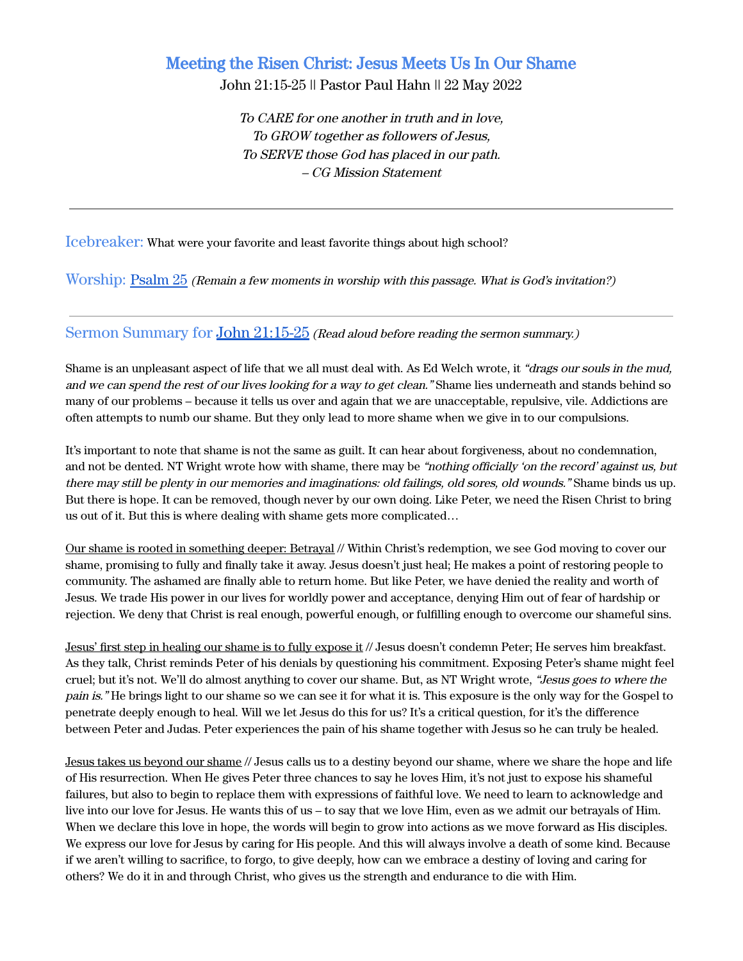# Meeting the Risen Christ: Jesus Meets Us In Our Shame

John 21:15-25 || Pastor Paul Hahn || 22 May 2022

To CARE for one another in truth and in love, To GROW together as followers of Jesus, To SERVE those God has placed in our path. – CG Mission Statement

Icebreaker: What were your favorite and least favorite things about high school?

Worship: [Psalm 25](https://www.biblegateway.com/passage/?search=Psalm+25&version=ESV) (Remain <sup>a</sup> few moments in worship with this passage. What is God's invitation?)

Sermon Summary for John [21:15-25](https://www.biblegateway.com/passage/?search=John+21%3A15-25&version=ESV) (Read aloud before reading the sermon summary.)

Shame is an unpleasant aspect of life that we all must deal with. As Ed Welch wrote, it "drags our souls in the mud, and we can spend the rest of our lives looking for a way to get clean." Shame lies underneath and stands behind so many of our problems – because it tells us over and again that we are unacceptable, repulsive, vile. Addictions are often attempts to numb our shame. But they only lead to more shame when we give in to our compulsions.

It's important to note that shame is not the same as guilt. It can hear about forgiveness, about no condemnation, and not be dented. NT Wright wrote how with shame, there may be "nothing officially 'on the record' against us, but there may still be plenty in our memories and imaginations: old failings, old sores, old wounds." Shame binds us up. But there is hope. It can be removed, though never by our own doing. Like Peter, we need the Risen Christ to bring us out of it. But this is where dealing with shame gets more complicated…

Our shame is rooted in something deeper: Betrayal // Within Christ's redemption, we see God moving to cover our shame, promising to fully and finally take it away. Jesus doesn't just heal; He makes a point of restoring people to community. The ashamed are finally able to return home. But like Peter, we have denied the reality and worth of Jesus. We trade His power in our lives for worldly power and acceptance, denying Him out of fear of hardship or rejection. We deny that Christ is real enough, powerful enough, or fulfilling enough to overcome our shameful sins.

Jesus' first step in healing our shame is to fully expose it // Jesus doesn't condemn Peter; He serves him breakfast. As they talk, Christ reminds Peter of his denials by questioning his commitment. Exposing Peter's shame might feel cruel; but it's not. We'll do almost anything to cover our shame. But, as NT Wright wrote, "Jesus goes to where the pain is." He brings light to our shame so we can see it for what it is. This exposure is the only way for the Gospel to penetrate deeply enough to heal. Will we let Jesus do this for us? It's a critical question, for it's the difference between Peter and Judas. Peter experiences the pain of his shame together with Jesus so he can truly be healed.

Jesus takes us beyond our shame // Jesus calls us to a destiny beyond our shame, where we share the hope and life of His resurrection. When He gives Peter three chances to say he loves Him, it's not just to expose his shameful failures, but also to begin to replace them with expressions of faithful love. We need to learn to acknowledge and live into our love for Jesus. He wants this of us – to say that we love Him, even as we admit our betrayals of Him. When we declare this love in hope, the words will begin to grow into actions as we move forward as His disciples. We express our love for Jesus by caring for His people. And this will always involve a death of some kind. Because if we aren't willing to sacrifice, to forgo, to give deeply, how can we embrace a destiny of loving and caring for others? We do it in and through Christ, who gives us the strength and endurance to die with Him.